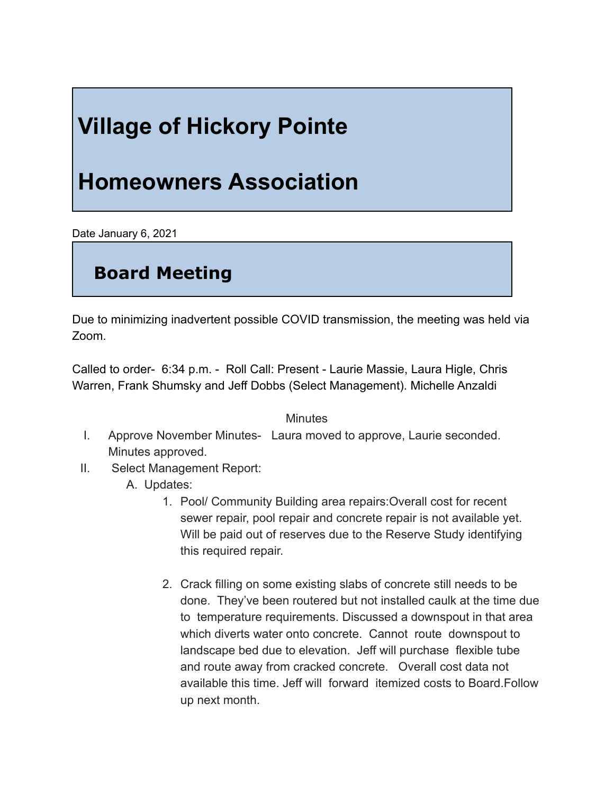## **Village of Hickory Pointe**

## **Homeowners Association**

Date January 6, 2021

## **Board Meeting**

Due to minimizing inadvertent possible COVID transmission, the meeting was held via Zoom.

Called to order- 6:34 p.m. - Roll Call: Present - Laurie Massie, Laura Higle, Chris Warren, Frank Shumsky and Jeff Dobbs (Select Management). Michelle Anzaldi

## **Minutes**

- I. Approve November Minutes- Laura moved to approve, Laurie seconded. Minutes approved.
- II. Select Management Report:
	- A. Updates:
		- 1. Pool/ Community Building area repairs:Overall cost for recent sewer repair, pool repair and concrete repair is not available yet. Will be paid out of reserves due to the Reserve Study identifying this required repair.
		- 2. Crack filling on some existing slabs of concrete still needs to be done. They've been routered but not installed caulk at the time due to temperature requirements. Discussed a downspout in that area which diverts water onto concrete. Cannot route downspout to landscape bed due to elevation. Jeff will purchase flexible tube and route away from cracked concrete. Overall cost data not available this time. Jeff will forward itemized costs to Board.Follow up next month.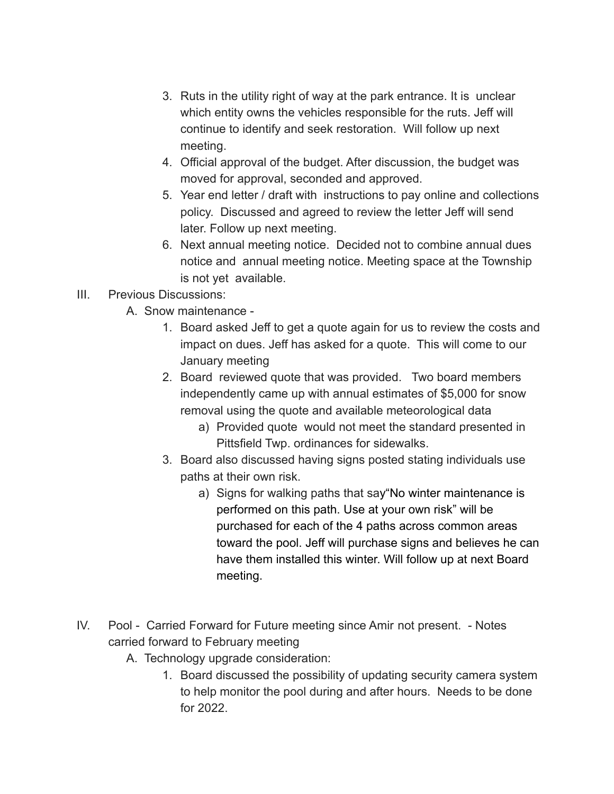- 3. Ruts in the utility right of way at the park entrance. It is unclear which entity owns the vehicles responsible for the ruts. Jeff will continue to identify and seek restoration. Will follow up next meeting.
- 4. Official approval of the budget. After discussion, the budget was moved for approval, seconded and approved.
- 5. Year end letter / draft with instructions to pay online and collections policy. Discussed and agreed to review the letter Jeff will send later. Follow up next meeting.
- 6. Next annual meeting notice. Decided not to combine annual dues notice and annual meeting notice. Meeting space at the Township is not yet available.
- III. Previous Discussions:
	- A. Snow maintenance
		- 1. Board asked Jeff to get a quote again for us to review the costs and impact on dues. Jeff has asked for a quote. This will come to our January meeting
		- 2. Board reviewed quote that was provided. Two board members independently came up with annual estimates of \$5,000 for snow removal using the quote and available meteorological data
			- a) Provided quote would not meet the standard presented in Pittsfield Twp. ordinances for sidewalks.
		- 3. Board also discussed having signs posted stating individuals use paths at their own risk.
			- a) Signs for walking paths that say"No winter maintenance is performed on this path. Use at your own risk" will be purchased for each of the 4 paths across common areas toward the pool. Jeff will purchase signs and believes he can have them installed this winter. Will follow up at next Board meeting.
- IV. Pool Carried Forward for Future meeting since Amir not present. Notes carried forward to February meeting
	- A. Technology upgrade consideration:
		- 1. Board discussed the possibility of updating security camera system to help monitor the pool during and after hours. Needs to be done for 2022.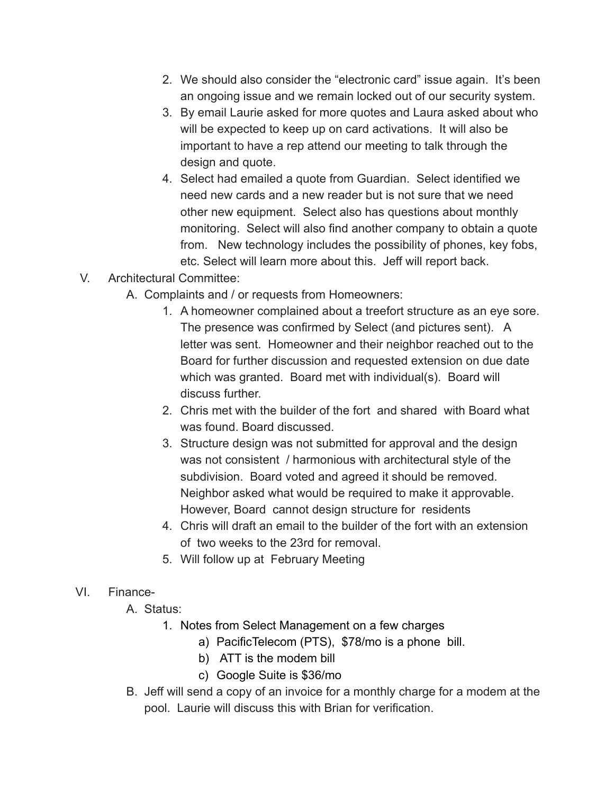- 2. We should also consider the "electronic card" issue again. It's been an ongoing issue and we remain locked out of our security system.
- 3. By email Laurie asked for more quotes and Laura asked about who will be expected to keep up on card activations. It will also be important to have a rep attend our meeting to talk through the design and quote.
- 4. Select had emailed a quote from Guardian. Select identified we need new cards and a new reader but is not sure that we need other new equipment. Select also has questions about monthly monitoring. Select will also find another company to obtain a quote from. New technology includes the possibility of phones, key fobs, etc. Select will learn more about this. Jeff will report back.
- V. Architectural Committee:
	- A. Complaints and / or requests from Homeowners:
		- 1. A homeowner complained about a treefort structure as an eye sore. The presence was confirmed by Select (and pictures sent). A letter was sent. Homeowner and their neighbor reached out to the Board for further discussion and requested extension on due date which was granted. Board met with individual(s). Board will discuss further.
		- 2. Chris met with the builder of the fort and shared with Board what was found. Board discussed.
		- 3. Structure design was not submitted for approval and the design was not consistent / harmonious with architectural style of the subdivision. Board voted and agreed it should be removed. Neighbor asked what would be required to make it approvable. However, Board cannot design structure for residents
		- 4. Chris will draft an email to the builder of the fort with an extension of two weeks to the 23rd for removal.
		- 5. Will follow up at February Meeting
- VI. Finance-
	- A. Status:
		- 1. Notes from Select Management on a few charges
			- a) PacificTelecom (PTS), \$78/mo is a phone bill.
			- b) ATT is the modem bill
			- c) Google Suite is \$36/mo
	- B. Jeff will send a copy of an invoice for a monthly charge for a modem at the pool. Laurie will discuss this with Brian for verification.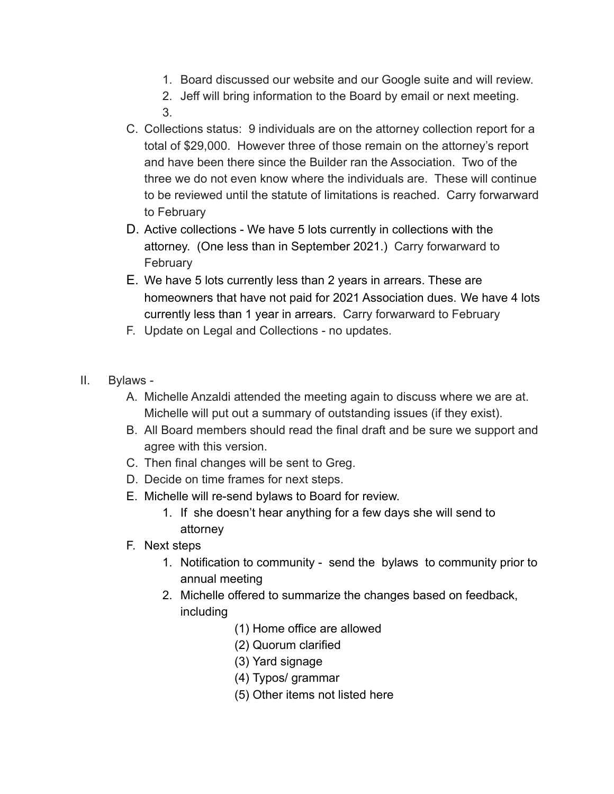- 1. Board discussed our website and our Google suite and will review.
- 2. Jeff will bring information to the Board by email or next meeting. 3.
- C. Collections status: 9 individuals are on the attorney collection report for a total of \$29,000. However three of those remain on the attorney's report and have been there since the Builder ran the Association. Two of the three we do not even know where the individuals are. These will continue to be reviewed until the statute of limitations is reached. Carry forwarward to February
- D. Active collections We have 5 lots currently in collections with the attorney. (One less than in September 2021.) Carry forwarward to February
- E. We have 5 lots currently less than 2 years in arrears. These are homeowners that have not paid for 2021 Association dues. We have 4 lots currently less than 1 year in arrears. Carry forwarward to February
- F. Update on Legal and Collections no updates.
- II. Bylaws
	- A. Michelle Anzaldi attended the meeting again to discuss where we are at. Michelle will put out a summary of outstanding issues (if they exist).
	- B. All Board members should read the final draft and be sure we support and agree with this version.
	- C. Then final changes will be sent to Greg.
	- D. Decide on time frames for next steps.
	- E. Michelle will re-send bylaws to Board for review.
		- 1. If she doesn't hear anything for a few days she will send to attorney
	- F. Next steps
		- 1. Notification to community send the bylaws to community prior to annual meeting
		- 2. Michelle offered to summarize the changes based on feedback, including
			- (1) Home office are allowed
			- (2) Quorum clarified
			- (3) Yard signage
			- (4) Typos/ grammar
			- (5) Other items not listed here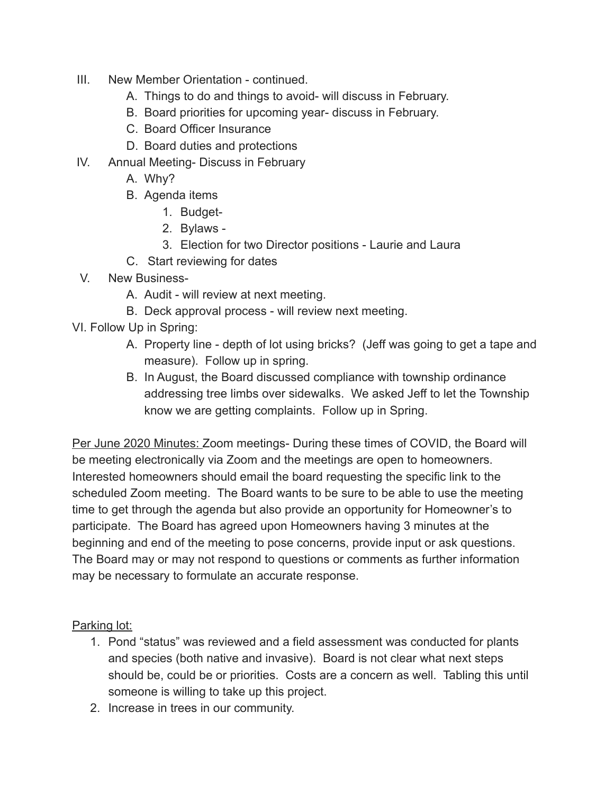- III. New Member Orientation continued.
	- A. Things to do and things to avoid- will discuss in February.
	- B. Board priorities for upcoming year- discuss in February.
	- C. Board Officer Insurance
	- D. Board duties and protections
- IV. Annual Meeting- Discuss in February
	- A. Why?
	- B. Agenda items
		- 1. Budget-
		- 2. Bylaws -
		- 3. Election for two Director positions Laurie and Laura
	- C. Start reviewing for dates
- V. New Business-
	- A. Audit will review at next meeting.
	- B. Deck approval process will review next meeting.
- VI. Follow Up in Spring:
	- A. Property line depth of lot using bricks? (Jeff was going to get a tape and measure). Follow up in spring.
	- B. In August, the Board discussed compliance with township ordinance addressing tree limbs over sidewalks. We asked Jeff to let the Township know we are getting complaints. Follow up in Spring.

Per June 2020 Minutes: Zoom meetings- During these times of COVID, the Board will be meeting electronically via Zoom and the meetings are open to homeowners. Interested homeowners should email the board requesting the specific link to the scheduled Zoom meeting. The Board wants to be sure to be able to use the meeting time to get through the agenda but also provide an opportunity for Homeowner's to participate. The Board has agreed upon Homeowners having 3 minutes at the beginning and end of the meeting to pose concerns, provide input or ask questions. The Board may or may not respond to questions or comments as further information may be necessary to formulate an accurate response.

Parking lot:

- 1. Pond "status" was reviewed and a field assessment was conducted for plants and species (both native and invasive). Board is not clear what next steps should be, could be or priorities. Costs are a concern as well. Tabling this until someone is willing to take up this project.
- 2. Increase in trees in our community.